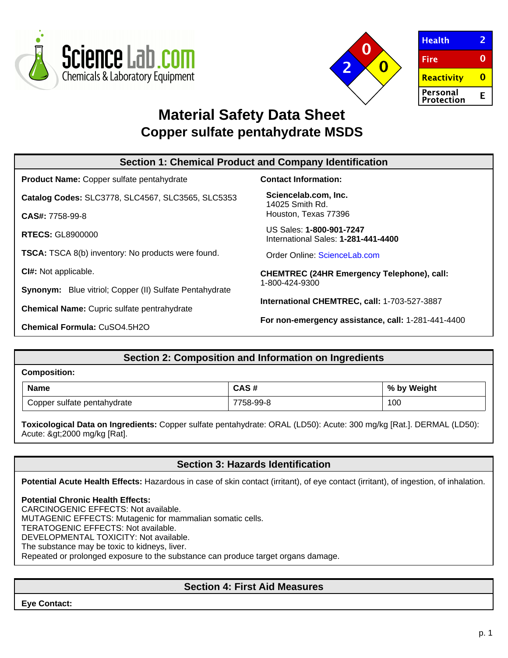



| <b>Health</b>          |   |
|------------------------|---|
| <b>Fire</b>            |   |
| Reactivity             |   |
| Personal<br>Protection | F |

# **Material Safety Data Sheet Copper sulfate pentahydrate MSDS**

| <b>Section 1: Chemical Product and Company Identification</b>  |                                                                     |  |  |
|----------------------------------------------------------------|---------------------------------------------------------------------|--|--|
| Product Name: Copper sulfate pentahydrate                      | <b>Contact Information:</b>                                         |  |  |
| Catalog Codes: SLC3778, SLC4567, SLC3565, SLC5353              | Sciencelab.com, Inc.<br>14025 Smith Rd.                             |  |  |
| <b>CAS#: 7758-99-8</b>                                         | Houston, Texas 77396                                                |  |  |
| <b>RTECS: GL8900000</b>                                        | US Sales: 1-800-901-7247<br>International Sales: 1-281-441-4400     |  |  |
| <b>TSCA:</b> TSCA 8(b) inventory: No products were found.      | Order Online: ScienceLab.com                                        |  |  |
| CI#: Not applicable.                                           | <b>CHEMTREC (24HR Emergency Telephone), call:</b><br>1-800-424-9300 |  |  |
| <b>Synonym:</b> Blue vitriol; Copper (II) Sulfate Pentahydrate |                                                                     |  |  |
| <b>Chemical Name:</b> Cupric sulfate pentrahydrate             | International CHEMTREC, call: 1-703-527-3887                        |  |  |
| <b>Chemical Formula: CuSO4.5H2O</b>                            | For non-emergency assistance, call: 1-281-441-4400                  |  |  |

# **Section 2: Composition and Information on Ingredients**

| <b>Composition:</b> |  |
|---------------------|--|
|---------------------|--|

| <b>Name</b>                 | CAS#     | Weight<br>$\mathbf{0}$ |
|-----------------------------|----------|------------------------|
| Copper sulfate pentahydrate | 758-99-8 | 100                    |

**Toxicological Data on Ingredients:** Copper sulfate pentahydrate: ORAL (LD50): Acute: 300 mg/kg [Rat.]. DERMAL (LD50): Acute: >2000 mg/kg [Rat].

# **Section 3: Hazards Identification**

**Potential Acute Health Effects:** Hazardous in case of skin contact (irritant), of eye contact (irritant), of ingestion, of inhalation.

#### **Potential Chronic Health Effects:**

CARCINOGENIC EFFECTS: Not available. MUTAGENIC EFFECTS: Mutagenic for mammalian somatic cells. TERATOGENIC EFFECTS: Not available. DEVELOPMENTAL TOXICITY: Not available. The substance may be toxic to kidneys, liver. Repeated or prolonged exposure to the substance can produce target organs damage.

# **Section 4: First Aid Measures**

**Eye Contact:**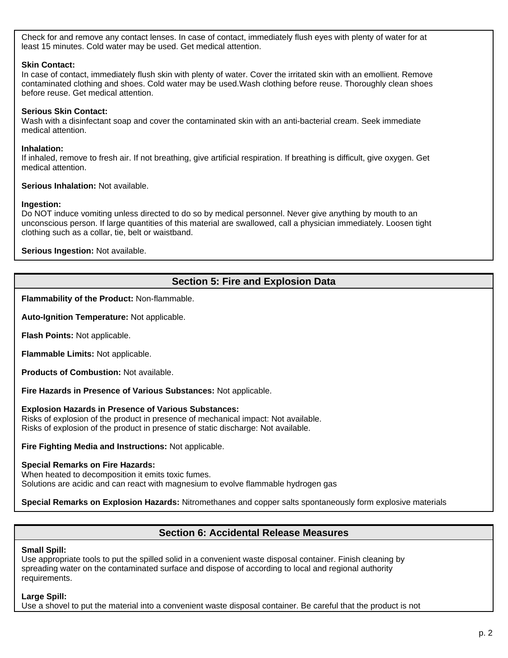Check for and remove any contact lenses. In case of contact, immediately flush eyes with plenty of water for at least 15 minutes. Cold water may be used. Get medical attention.

#### **Skin Contact:**

In case of contact, immediately flush skin with plenty of water. Cover the irritated skin with an emollient. Remove contaminated clothing and shoes. Cold water may be used.Wash clothing before reuse. Thoroughly clean shoes before reuse. Get medical attention.

#### **Serious Skin Contact:**

Wash with a disinfectant soap and cover the contaminated skin with an anti-bacterial cream. Seek immediate medical attention.

#### **Inhalation:**

If inhaled, remove to fresh air. If not breathing, give artificial respiration. If breathing is difficult, give oxygen. Get medical attention.

#### **Serious Inhalation:** Not available.

#### **Ingestion:**

Do NOT induce vomiting unless directed to do so by medical personnel. Never give anything by mouth to an unconscious person. If large quantities of this material are swallowed, call a physician immediately. Loosen tight clothing such as a collar, tie, belt or waistband.

#### **Serious Ingestion:** Not available.

# **Section 5: Fire and Explosion Data**

**Flammability of the Product:** Non-flammable.

**Auto-Ignition Temperature:** Not applicable.

**Flash Points:** Not applicable.

**Flammable Limits:** Not applicable.

**Products of Combustion:** Not available.

**Fire Hazards in Presence of Various Substances:** Not applicable.

#### **Explosion Hazards in Presence of Various Substances:**

Risks of explosion of the product in presence of mechanical impact: Not available. Risks of explosion of the product in presence of static discharge: Not available.

**Fire Fighting Media and Instructions:** Not applicable.

#### **Special Remarks on Fire Hazards:**

When heated to decomposition it emits toxic fumes. Solutions are acidic and can react with magnesium to evolve flammable hydrogen gas

**Special Remarks on Explosion Hazards:** Nitromethanes and copper salts spontaneously form explosive materials

### **Section 6: Accidental Release Measures**

**Small Spill:**

Use appropriate tools to put the spilled solid in a convenient waste disposal container. Finish cleaning by spreading water on the contaminated surface and dispose of according to local and regional authority requirements.

#### **Large Spill:**

Use a shovel to put the material into a convenient waste disposal container. Be careful that the product is not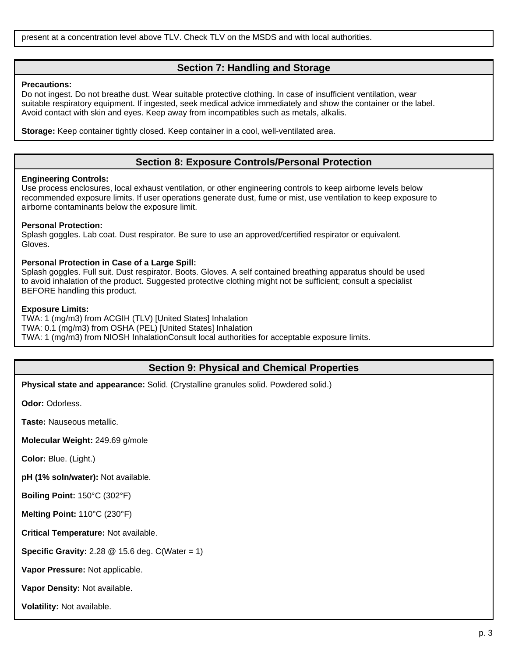# **Section 7: Handling and Storage**

#### **Precautions:**

Do not ingest. Do not breathe dust. Wear suitable protective clothing. In case of insufficient ventilation, wear suitable respiratory equipment. If ingested, seek medical advice immediately and show the container or the label. Avoid contact with skin and eyes. Keep away from incompatibles such as metals, alkalis.

**Storage:** Keep container tightly closed. Keep container in a cool, well-ventilated area.

### **Section 8: Exposure Controls/Personal Protection**

#### **Engineering Controls:**

Use process enclosures, local exhaust ventilation, or other engineering controls to keep airborne levels below recommended exposure limits. If user operations generate dust, fume or mist, use ventilation to keep exposure to airborne contaminants below the exposure limit.

#### **Personal Protection:**

Splash goggles. Lab coat. Dust respirator. Be sure to use an approved/certified respirator or equivalent. Gloves.

#### **Personal Protection in Case of a Large Spill:**

Splash goggles. Full suit. Dust respirator. Boots. Gloves. A self contained breathing apparatus should be used to avoid inhalation of the product. Suggested protective clothing might not be sufficient; consult a specialist BEFORE handling this product.

#### **Exposure Limits:**

TWA: 1 (mg/m3) from ACGIH (TLV) [United States] Inhalation TWA: 0.1 (mg/m3) from OSHA (PEL) [United States] Inhalation TWA: 1 (mg/m3) from NIOSH InhalationConsult local authorities for acceptable exposure limits.

# **Section 9: Physical and Chemical Properties**

**Physical state and appearance:** Solid. (Crystalline granules solid. Powdered solid.)

**Odor:** Odorless.

**Taste:** Nauseous metallic.

**Molecular Weight:** 249.69 g/mole

**Color:** Blue. (Light.)

**pH (1% soln/water):** Not available.

**Boiling Point:** 150°C (302°F)

**Melting Point:** 110°C (230°F)

**Critical Temperature:** Not available.

**Specific Gravity:** 2.28  $@$  15.6 deg. C(Water = 1)

**Vapor Pressure:** Not applicable.

**Vapor Density:** Not available.

**Volatility:** Not available.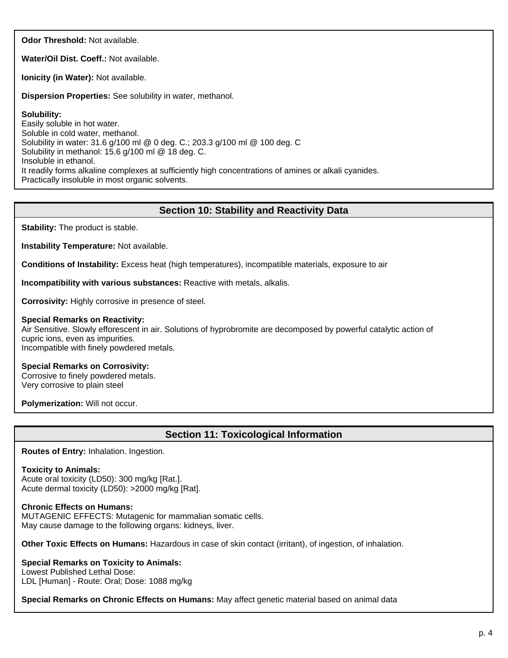**Odor Threshold:** Not available.

**Water/Oil Dist. Coeff.:** Not available.

**Ionicity (in Water):** Not available.

**Dispersion Properties:** See solubility in water, methanol.

### **Solubility:**

Easily soluble in hot water. Soluble in cold water, methanol. Solubility in water: 31.6 g/100 ml @ 0 deg. C.; 203.3 g/100 ml @ 100 deg. C Solubility in methanol: 15.6 g/100 ml @ 18 deg. C. Insoluble in ethanol. It readily forms alkaline complexes at sufficiently high concentrations of amines or alkali cyanides. Practically insoluble in most organic solvents.

# **Section 10: Stability and Reactivity Data**

**Stability:** The product is stable.

**Instability Temperature:** Not available.

**Conditions of Instability:** Excess heat (high temperatures), incompatible materials, exposure to air

**Incompatibility with various substances:** Reactive with metals, alkalis.

**Corrosivity:** Highly corrosive in presence of steel.

#### **Special Remarks on Reactivity:**

Air Sensitive. Slowly efforescent in air. Solutions of hyprobromite are decomposed by powerful catalytic action of cupric ions, even as impurities. Incompatible with finely powdered metals.

#### **Special Remarks on Corrosivity:**

Corrosive to finely powdered metals. Very corrosive to plain steel

**Polymerization:** Will not occur.

# **Section 11: Toxicological Information**

**Routes of Entry:** Inhalation. Ingestion.

#### **Toxicity to Animals:**

Acute oral toxicity (LD50): 300 mg/kg [Rat.]. Acute dermal toxicity (LD50): >2000 mg/kg [Rat].

#### **Chronic Effects on Humans:**

MUTAGENIC EFFECTS: Mutagenic for mammalian somatic cells. May cause damage to the following organs: kidneys, liver.

**Other Toxic Effects on Humans:** Hazardous in case of skin contact (irritant), of ingestion, of inhalation.

#### **Special Remarks on Toxicity to Animals:**

Lowest Published Lethal Dose: LDL [Human] - Route: Oral; Dose: 1088 mg/kg

**Special Remarks on Chronic Effects on Humans:** May affect genetic material based on animal data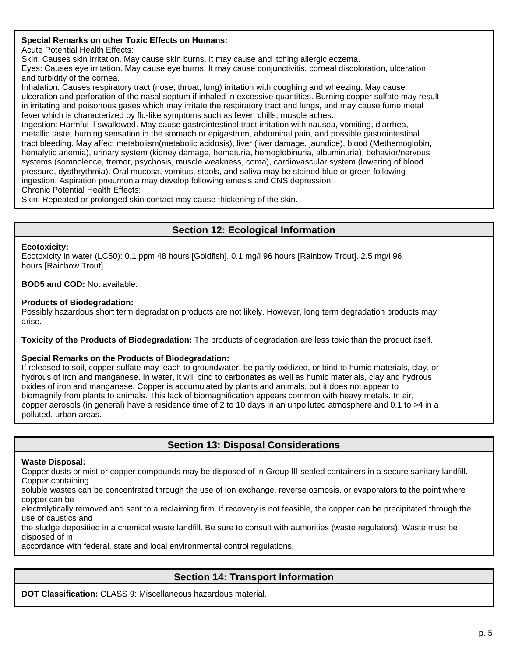#### **Special Remarks on other Toxic Effects on Humans:**

Acute Potential Health Effects:

Skin: Causes skin irritation. May cause skin burns. It may cause and itching allergic eczema. Eyes: Causes eye irritation. May cause eye burns. It may cause conjunctivitis, corneal discoloration, ulceration and turbidity of the cornea.

Inhalation: Causes respiratory tract (nose, throat, lung) irritation with coughing and wheezing. May cause ulceration and perforation of the nasal septum if inhaled in excessive quantities. Burning copper sulfate may result in irritating and poisonous gases which may irritate the respiratory tract and lungs, and may cause fume metal fever which is characterized by flu-like symptoms such as fever, chills, muscle aches.

Ingestion: Harmful if swallowed. May cause gastrointestinal tract irritation with nausea, vomiting, diarrhea, metallic taste, burning sensation in the stomach or epigastrum, abdominal pain, and possible gastrointestinal tract bleeding. May affect metabolism(metabolic acidosis), liver (liver damage, jaundice), blood (Methemoglobin, hemalytic anemia), urinary system (kidney damage, hematuria, hemoglobinuria, albuminuria), behavior/nervous systems (somnolence, tremor, psychosis, muscle weakness, coma), cardiovascular system (lowering of blood pressure, dysthrythmia). Oral mucosa, vomitus, stools, and saliva may be stained blue or green following ingestion. Aspiration pneumonia may develop following emesis and CNS depression. Chronic Potential Health Effects:

Skin: Repeated or prolonged skin contact may cause thickening of the skin.

### **Section 12: Ecological Information**

#### **Ecotoxicity:**

Ecotoxicity in water (LC50): 0.1 ppm 48 hours [Goldfish]. 0.1 mg/l 96 hours [Rainbow Trout]. 2.5 mg/l 96 hours [Rainbow Trout].

**BOD5 and COD:** Not available.

#### **Products of Biodegradation:**

Possibly hazardous short term degradation products are not likely. However, long term degradation products may arise.

**Toxicity of the Products of Biodegradation:** The products of degradation are less toxic than the product itself.

#### **Special Remarks on the Products of Biodegradation:**

If released to soil, copper sulfate may leach to groundwater, be partly oxidized, or bind to humic materials, clay, or hydrous of iron and manganese. In water, it will bind to carbonates as well as humic materials, clay and hydrous oxides of iron and manganese. Copper is accumulated by plants and animals, but it does not appear to biomagnify from plants to animals. This lack of biomagnification appears common with heavy metals. In air, copper aerosols (in general) have a residence time of 2 to 10 days in an unpolluted atmosphere and 0.1 to >4 in a polluted, urban areas.

### **Section 13: Disposal Considerations**

#### **Waste Disposal:**

Copper dusts or mist or copper compounds may be disposed of in Group III sealed containers in a secure sanitary landfill. Copper containing

soluble wastes can be concentrated through the use of ion exchange, reverse osmosis, or evaporators to the point where copper can be

electrolytically removed and sent to a reclaiming firm. If recovery is not feasible, the copper can be precipitated through the use of caustics and

the sludge depositied in a chemical waste landfill. Be sure to consult with authorities (waste regulators). Waste must be disposed of in

accordance with federal, state and local environmental control regulations.

### **Section 14: Transport Information**

**DOT Classification:** CLASS 9: Miscellaneous hazardous material.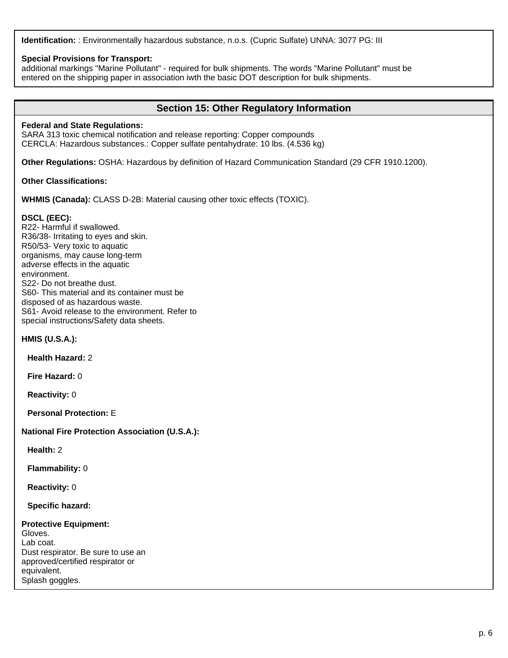**Identification:** : Environmentally hazardous substance, n.o.s. (Cupric Sulfate) UNNA: 3077 PG: III

#### **Special Provisions for Transport:**

additional markings "Marine Pollutant" - required for bulk shipments. The words "Marine Pollutant" must be entered on the shipping paper in association iwth the basic DOT description for bulk shipments.

### **Section 15: Other Regulatory Information**

#### **Federal and State Regulations:**

SARA 313 toxic chemical notification and release reporting: Copper compounds CERCLA: Hazardous substances.: Copper sulfate pentahydrate: 10 lbs. (4.536 kg)

**Other Regulations:** OSHA: Hazardous by definition of Hazard Communication Standard (29 CFR 1910.1200).

#### **Other Classifications:**

**WHMIS (Canada):** CLASS D-2B: Material causing other toxic effects (TOXIC).

#### **DSCL (EEC):**

R22- Harmful if swallowed. R36/38- Irritating to eyes and skin. R50/53- Very toxic to aquatic organisms, may cause long-term adverse effects in the aquatic environment. S22- Do not breathe dust. S60- This material and its container must be disposed of as hazardous waste. S61- Avoid release to the environment. Refer to special instructions/Safety data sheets.

#### **HMIS (U.S.A.):**

**Health Hazard:** 2

**Fire Hazard:** 0

**Reactivity:** 0

**Personal Protection:** E

### **National Fire Protection Association (U.S.A.):**

**Health:** 2

**Flammability:** 0

**Reactivity:** 0

**Specific hazard:**

# **Protective Equipment:**

Gloves. Lab coat. Dust respirator. Be sure to use an approved/certified respirator or equivalent. Splash goggles.